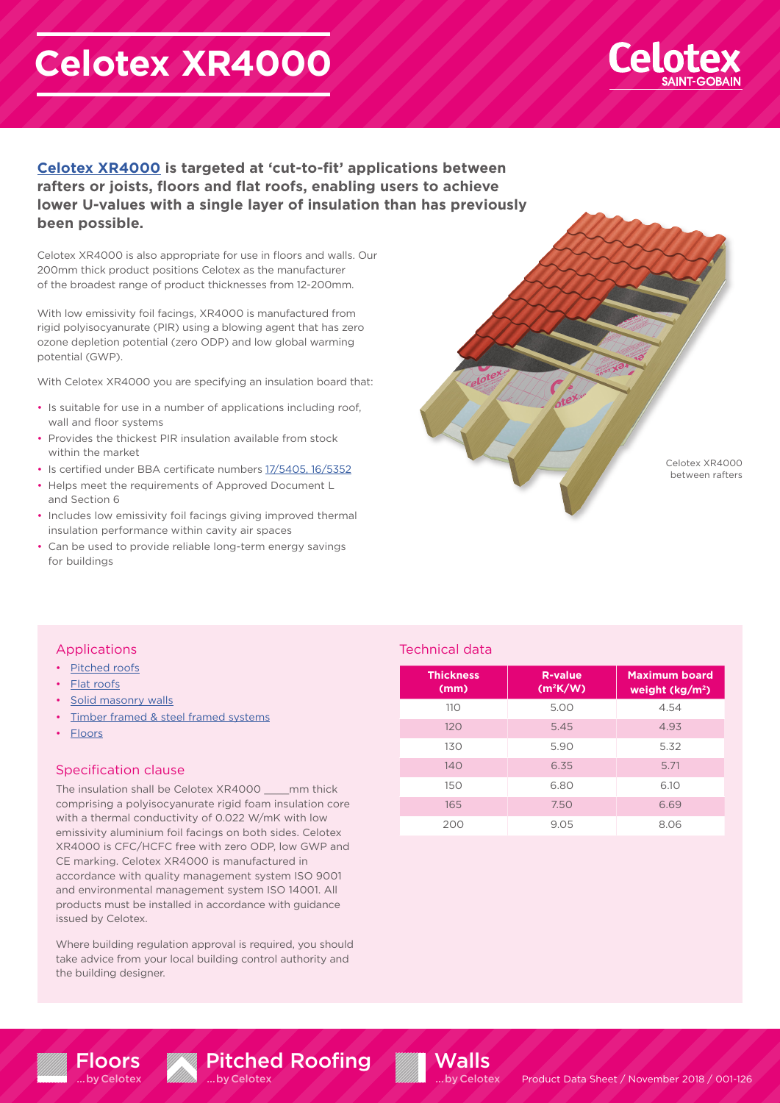# **Celotex XR4000**



**[Celotex XR4000](https://www.celotex.co.uk/products/xr4000) is targeted at 'cut-to-fit' applications between rafters or joists, floors and flat roofs, enabling users to achieve lower U-values with a single layer of insulation than has previously been possible.** 

Celotex XR4000 is also appropriate for use in floors and walls. Our 200mm thick product positions Celotex as the manufacturer of the broadest range of product thicknesses from 12-200mm.

With low emissivity foil facings, XR4000 is manufactured from rigid polyisocyanurate (PIR) using a blowing agent that has zero ozone depletion potential (zero ODP) and low global warming potential (GWP).

With Celotex XR4000 you are specifying an insulation board that:

- Is suitable for use in a number of applications including roof, wall and floor systems
- Provides the thickest PIR insulation available from stock within the market
- Is certified under BBA certificate numbers [17/5405, 16/5352](https://www.celotex.co.uk/resources/bba-certificates)
- Helps meet the requirements of Approved Document L and Section 6
- Includes low emissivity foil facings giving improved thermal insulation performance within cavity air spaces
- Can be used to provide reliable long-term energy savings for buildings



## Applications

- [Pitched roofs](https://www.celotex.co.uk/applications/pitched-roof-insulation)
- [Flat roofs](https://www.celotex.co.uk/applications/flat-roof-insulation)
- [Solid masonry walls](https://www.celotex.co.uk/applications/wall-insulation)
- [Timber framed & steel framed systems](https://www.celotex.co.uk/applications/wall-insulation)
- [Floors](https://www.celotex.co.uk/applications/floor-insulation)

### Specification clause

Floors …by Celotex

The insulation shall be Celotex XR4000 \_\_\_\_mm thick comprising a polyisocyanurate rigid foam insulation core with a thermal conductivity of 0.022 W/mK with low emissivity aluminium foil facings on both sides. Celotex XR4000 is CFC/HCFC free with zero ODP, low GWP and CE marking. Celotex XR4000 is manufactured in accordance with quality management system ISO 9001 and environmental management system ISO 14001. All products must be installed in accordance with guidance issued by Celotex.

Where building regulation approval is required, you should take advice from your local building control authority and the building designer.

Pitched Roofing

…by Celotex

# Technical data

**Walls** …by Celotex

| <b>Thickness</b><br>(mm) | <b>R-value</b><br>$(m^2K/W)$ | <b>Maximum board</b><br>weight $(kg/m^2)$ |
|--------------------------|------------------------------|-------------------------------------------|
| 110                      | 5.00                         | 4.54                                      |
| 120                      | 5.45                         | 4.93                                      |
| 130                      | 5.90                         | 5.32                                      |
| 140                      | 6.35                         | 5.71                                      |
| 150                      | 6.80                         | 6.10                                      |
| 165                      | 7.50                         | 6.69                                      |
| 200                      | 9.05                         | 8.06                                      |

Product Data Sheet / November 2018 / 001-126